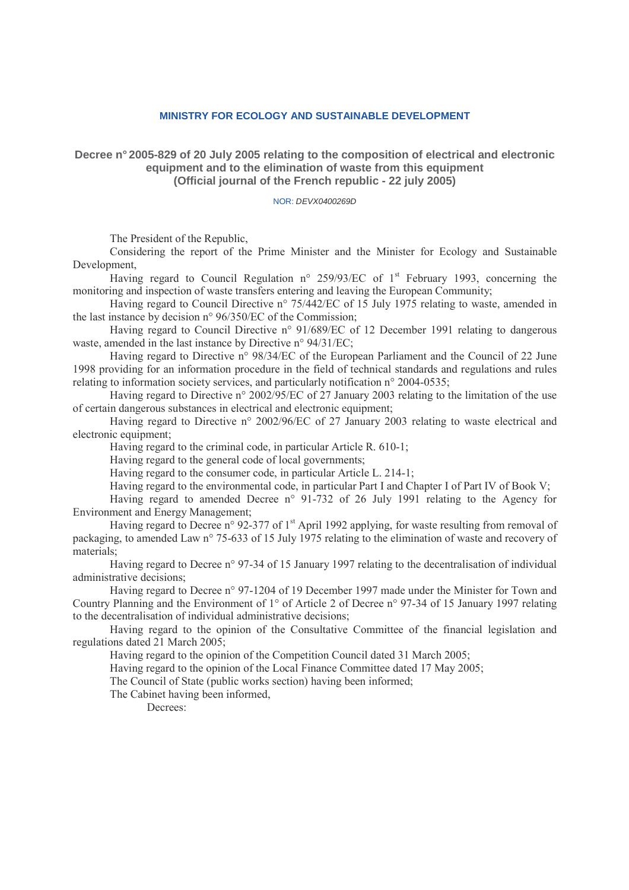#### **MINISTRY FOR ECOLOGY AND SUSTAINABLE DEVELOPMENT**

### **Decree n° 2005-829 of 20 July 2005 relating to the composition of electrical and electronic equipment and to the elimination of waste from this equipment (Official journal of the French republic - 22 july 2005)**

#### NOR: DEVX0400269D

The President of the Republic,

Considering the report of the Prime Minister and the Minister for Ecology and Sustainable Development,

Having regard to Council Regulation n° 259/93/EC of 1<sup>st</sup> February 1993, concerning the monitoring and inspection of waste transfers entering and leaving the European Community;

Having regard to Council Directive n° 75/442/EC of 15 July 1975 relating to waste, amended in the last instance by decision n° 96/350/EC of the Commission;

Having regard to Council Directive n° 91/689/EC of 12 December 1991 relating to dangerous waste, amended in the last instance by Directive n° 94/31/EC;

Having regard to Directive n° 98/34/EC of the European Parliament and the Council of 22 June 1998 providing for an information procedure in the field of technical standards and regulations and rules relating to information society services, and particularly notification n° 2004-0535;

Having regard to Directive n° 2002/95/EC of 27 January 2003 relating to the limitation of the use of certain dangerous substances in electrical and electronic equipment;

Having regard to Directive n° 2002/96/EC of 27 January 2003 relating to waste electrical and electronic equipment;

Having regard to the criminal code, in particular Article R. 610-1;

Having regard to the general code of local governments;

Having regard to the consumer code, in particular Article L. 214-1;

Having regard to the environmental code, in particular Part I and Chapter I of Part IV of Book V;

Having regard to amended Decree n° 91-732 of 26 July 1991 relating to the Agency for Environment and Energy Management;

Having regard to Decree n° 92-377 of 1<sup>st</sup> April 1992 applying, for waste resulting from removal of packaging, to amended Law n° 75-633 of 15 July 1975 relating to the elimination of waste and recovery of materials;

Having regard to Decree n° 97-34 of 15 January 1997 relating to the decentralisation of individual administrative decisions;

Having regard to Decree n° 97-1204 of 19 December 1997 made under the Minister for Town and Country Planning and the Environment of 1° of Article 2 of Decree n° 97-34 of 15 January 1997 relating to the decentralisation of individual administrative decisions;

Having regard to the opinion of the Consultative Committee of the financial legislation and regulations dated 21 March 2005;

Having regard to the opinion of the Competition Council dated 31 March 2005;

Having regard to the opinion of the Local Finance Committee dated 17 May 2005;

The Council of State (public works section) having been informed;

The Cabinet having been informed,

Decrees: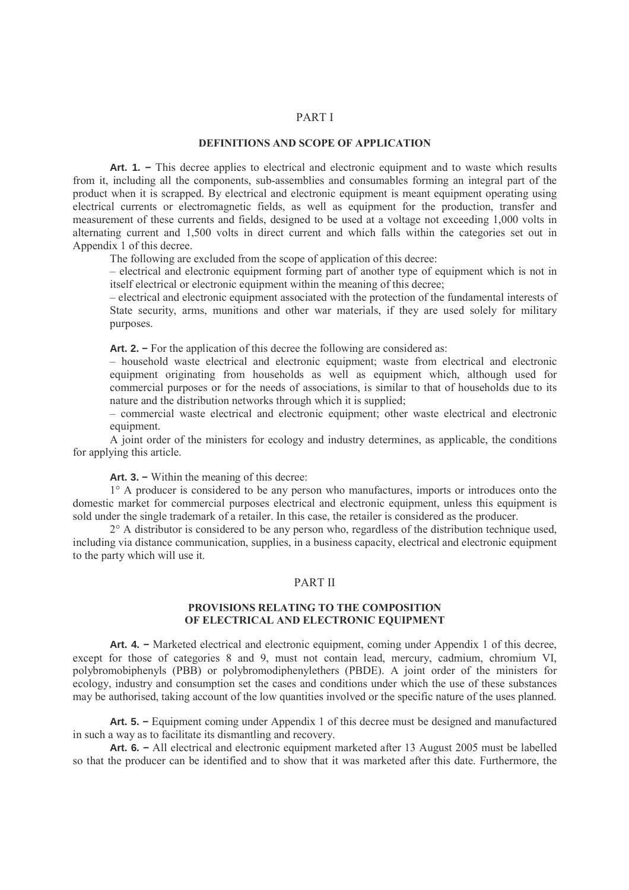#### PART I

#### DEFINITIONS AND SCOPE OF APPLICATION

**Art. 1. −** This decree applies to electrical and electronic equipment and to waste which results from it, including all the components, sub-assemblies and consumables forming an integral part of the product when it is scrapped. By electrical and electronic equipment is meant equipment operating using electrical currents or electromagnetic fields, as well as equipment for the production, transfer and measurement of these currents and fields, designed to be used at a voltage not exceeding 1,000 volts in alternating current and 1,500 volts in direct current and which falls within the categories set out in Appendix 1 of this decree.

The following are excluded from the scope of application of this decree:

– electrical and electronic equipment forming part of another type of equipment which is not in itself electrical or electronic equipment within the meaning of this decree;

– electrical and electronic equipment associated with the protection of the fundamental interests of State security, arms, munitions and other war materials, if they are used solely for military purposes.

**Art. 2. −** For the application of this decree the following are considered as:

– household waste electrical and electronic equipment; waste from electrical and electronic equipment originating from households as well as equipment which, although used for commercial purposes or for the needs of associations, is similar to that of households due to its nature and the distribution networks through which it is supplied;

– commercial waste electrical and electronic equipment; other waste electrical and electronic equipment.

A joint order of the ministers for ecology and industry determines, as applicable, the conditions for applying this article.

**Art. 3. −** Within the meaning of this decree:

1° A producer is considered to be any person who manufactures, imports or introduces onto the domestic market for commercial purposes electrical and electronic equipment, unless this equipment is sold under the single trademark of a retailer. In this case, the retailer is considered as the producer.

2° A distributor is considered to be any person who, regardless of the distribution technique used, including via distance communication, supplies, in a business capacity, electrical and electronic equipment to the party which will use it.

#### PART II

#### PROVISIONS RELATING TO THE COMPOSITION OF ELECTRICAL AND ELECTRONIC EQUIPMENT

**Art. 4. −** Marketed electrical and electronic equipment, coming under Appendix 1 of this decree, except for those of categories 8 and 9, must not contain lead, mercury, cadmium, chromium VI, polybromobiphenyls (PBB) or polybromodiphenylethers (PBDE). A joint order of the ministers for ecology, industry and consumption set the cases and conditions under which the use of these substances may be authorised, taking account of the low quantities involved or the specific nature of the uses planned.

**Art. 5. −** Equipment coming under Appendix 1 of this decree must be designed and manufactured in such a way as to facilitate its dismantling and recovery.

**Art. 6. −** All electrical and electronic equipment marketed after 13 August 2005 must be labelled so that the producer can be identified and to show that it was marketed after this date. Furthermore, the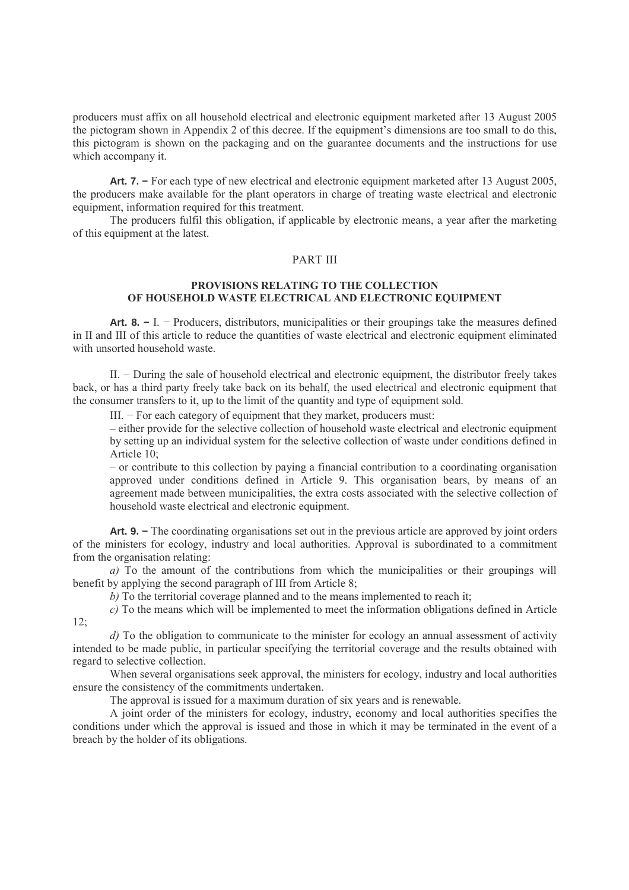producers must affix on all household electrical and electronic equipment marketed after 13 August 2005 the pictogram shown in Appendix 2 of this decree. If the equipment's dimensions are too small to do this, this pictogram is shown on the packaging and on the guarantee documents and the instructions for use which accompany it.

**Art. 7. −** For each type of new electrical and electronic equipment marketed after 13 August 2005, the producers make available for the plant operators in charge of treating waste electrical and electronic equipment, information required for this treatment.

The producers fulfil this obligation, if applicable by electronic means, a year after the marketing of this equipment at the latest.

# PART III

# PROVISIONS RELATING TO THE COLLECTION OF HOUSEHOLD WASTE ELECTRICAL AND ELECTRONIC EQUIPMENT

**Art. 8. −** I. − Producers, distributors, municipalities or their groupings take the measures defined in II and III of this article to reduce the quantities of waste electrical and electronic equipment eliminated with unsorted household waste.

II. − During the sale of household electrical and electronic equipment, the distributor freely takes back, or has a third party freely take back on its behalf, the used electrical and electronic equipment that the consumer transfers to it, up to the limit of the quantity and type of equipment sold.

III. − For each category of equipment that they market, producers must:

– either provide for the selective collection of household waste electrical and electronic equipment by setting up an individual system for the selective collection of waste under conditions defined in Article 10;

– or contribute to this collection by paying a financial contribution to a coordinating organisation approved under conditions defined in Article 9. This organisation bears, by means of an agreement made between municipalities, the extra costs associated with the selective collection of household waste electrical and electronic equipment.

**Art. 9. −** The coordinating organisations set out in the previous article are approved by joint orders of the ministers for ecology, industry and local authorities. Approval is subordinated to a commitment from the organisation relating:

a) To the amount of the contributions from which the municipalities or their groupings will benefit by applying the second paragraph of III from Article 8;

b) To the territorial coverage planned and to the means implemented to reach it;

c) To the means which will be implemented to meet the information obligations defined in Article  $12:$ 

d) To the obligation to communicate to the minister for ecology an annual assessment of activity intended to be made public, in particular specifying the territorial coverage and the results obtained with regard to selective collection.

When several organisations seek approval, the ministers for ecology, industry and local authorities ensure the consistency of the commitments undertaken.

The approval is issued for a maximum duration of six years and is renewable.

A joint order of the ministers for ecology, industry, economy and local authorities specifies the conditions under which the approval is issued and those in which it may be terminated in the event of a breach by the holder of its obligations.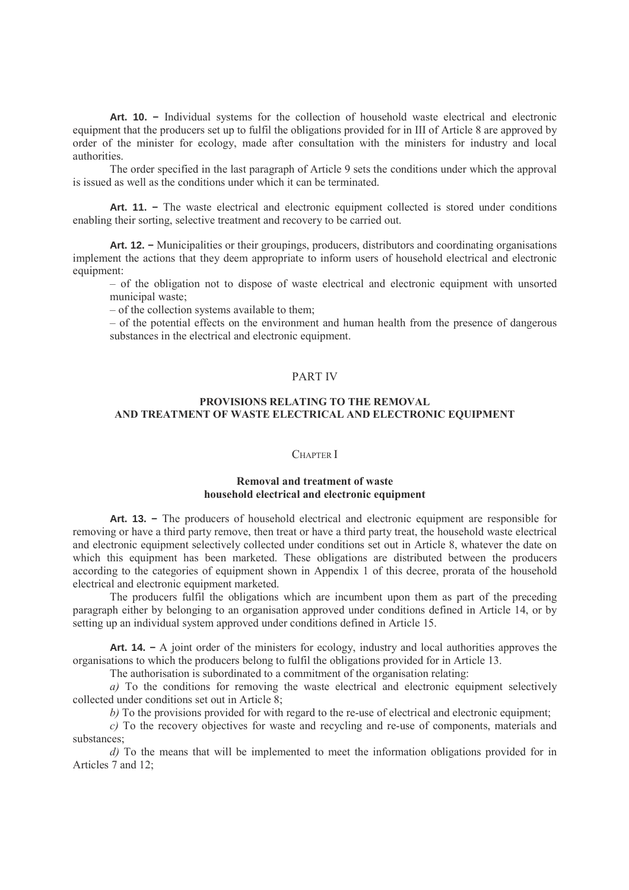**Art. 10. −** Individual systems for the collection of household waste electrical and electronic equipment that the producers set up to fulfil the obligations provided for in III of Article 8 are approved by order of the minister for ecology, made after consultation with the ministers for industry and local authorities.

The order specified in the last paragraph of Article 9 sets the conditions under which the approval is issued as well as the conditions under which it can be terminated.

Art. 11. – The waste electrical and electronic equipment collected is stored under conditions enabling their sorting, selective treatment and recovery to be carried out.

**Art. 12. −** Municipalities or their groupings, producers, distributors and coordinating organisations implement the actions that they deem appropriate to inform users of household electrical and electronic equipment:

– of the obligation not to dispose of waste electrical and electronic equipment with unsorted municipal waste;

– of the collection systems available to them;

– of the potential effects on the environment and human health from the presence of dangerous substances in the electrical and electronic equipment.

# PART IV

## PROVISIONS RELATING TO THE REMOVAL AND TREATMENT OF WASTE ELECTRICAL AND ELECTRONIC EQUIPMENT

#### CHAPTER I

## Removal and treatment of waste household electrical and electronic equipment

**Art. 13. −** The producers of household electrical and electronic equipment are responsible for removing or have a third party remove, then treat or have a third party treat, the household waste electrical and electronic equipment selectively collected under conditions set out in Article 8, whatever the date on which this equipment has been marketed. These obligations are distributed between the producers according to the categories of equipment shown in Appendix 1 of this decree, prorata of the household electrical and electronic equipment marketed.

The producers fulfil the obligations which are incumbent upon them as part of the preceding paragraph either by belonging to an organisation approved under conditions defined in Article 14, or by setting up an individual system approved under conditions defined in Article 15.

**Art. 14. −** A joint order of the ministers for ecology, industry and local authorities approves the organisations to which the producers belong to fulfil the obligations provided for in Article 13.

The authorisation is subordinated to a commitment of the organisation relating:

a) To the conditions for removing the waste electrical and electronic equipment selectively collected under conditions set out in Article 8;

b) To the provisions provided for with regard to the re-use of electrical and electronic equipment;

c) To the recovery objectives for waste and recycling and re-use of components, materials and substances;

d) To the means that will be implemented to meet the information obligations provided for in Articles 7 and 12;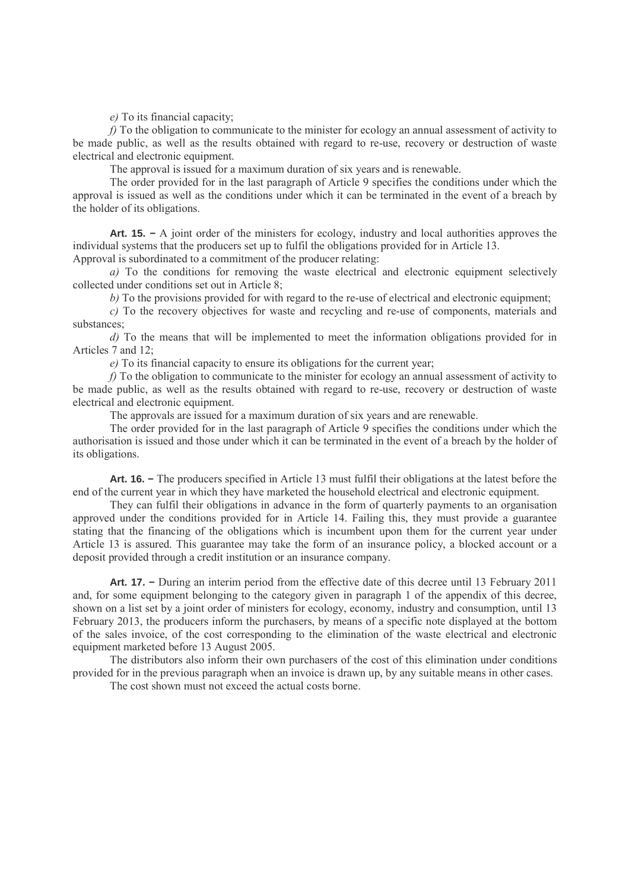e) To its financial capacity;

f) To the obligation to communicate to the minister for ecology an annual assessment of activity to be made public, as well as the results obtained with regard to re-use, recovery or destruction of waste electrical and electronic equipment.

The approval is issued for a maximum duration of six years and is renewable.

The order provided for in the last paragraph of Article 9 specifies the conditions under which the approval is issued as well as the conditions under which it can be terminated in the event of a breach by the holder of its obligations.

**Art. 15. −** A joint order of the ministers for ecology, industry and local authorities approves the individual systems that the producers set up to fulfil the obligations provided for in Article 13.

Approval is subordinated to a commitment of the producer relating:

a) To the conditions for removing the waste electrical and electronic equipment selectively collected under conditions set out in Article  $8$ .

b) To the provisions provided for with regard to the re-use of electrical and electronic equipment;

c) To the recovery objectives for waste and recycling and re-use of components, materials and substances;

d) To the means that will be implemented to meet the information obligations provided for in Articles 7 and 12;

e) To its financial capacity to ensure its obligations for the current year;

 $f$ ) To the obligation to communicate to the minister for ecology an annual assessment of activity to be made public, as well as the results obtained with regard to re-use, recovery or destruction of waste electrical and electronic equipment.

The approvals are issued for a maximum duration of six years and are renewable.

The order provided for in the last paragraph of Article 9 specifies the conditions under which the authorisation is issued and those under which it can be terminated in the event of a breach by the holder of its obligations.

**Art. 16. −** The producers specified in Article 13 must fulfil their obligations at the latest before the end of the current year in which they have marketed the household electrical and electronic equipment.

They can fulfil their obligations in advance in the form of quarterly payments to an organisation approved under the conditions provided for in Article 14. Failing this, they must provide a guarantee stating that the financing of the obligations which is incumbent upon them for the current year under Article 13 is assured. This guarantee may take the form of an insurance policy, a blocked account or a deposit provided through a credit institution or an insurance company.

**Art. 17. −** During an interim period from the effective date of this decree until 13 February 2011 and, for some equipment belonging to the category given in paragraph 1 of the appendix of this decree, shown on a list set by a joint order of ministers for ecology, economy, industry and consumption, until 13 February 2013, the producers inform the purchasers, by means of a specific note displayed at the bottom of the sales invoice, of the cost corresponding to the elimination of the waste electrical and electronic equipment marketed before 13 August 2005.

The distributors also inform their own purchasers of the cost of this elimination under conditions provided for in the previous paragraph when an invoice is drawn up, by any suitable means in other cases.

The cost shown must not exceed the actual costs borne.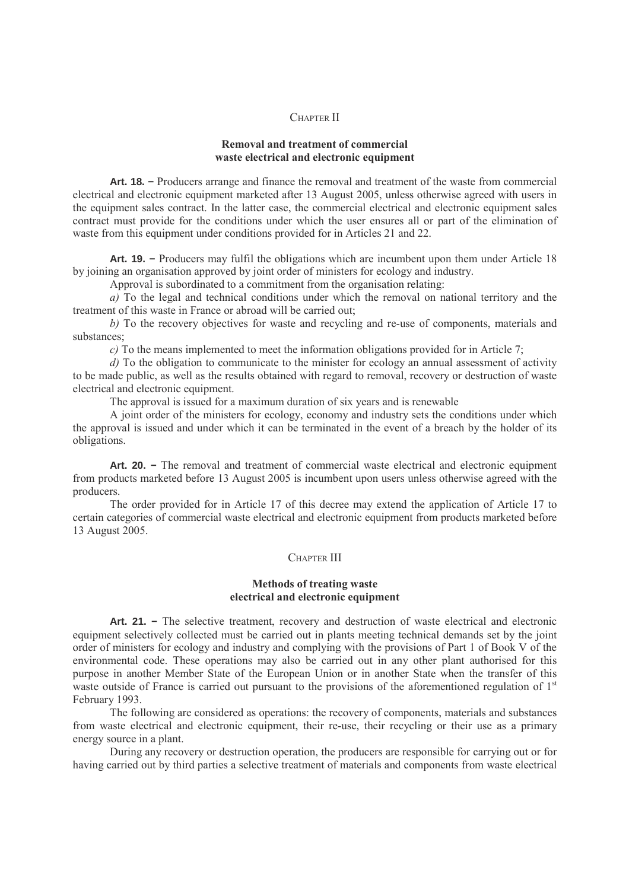#### CHAPTER II

## Removal and treatment of commercial waste electrical and electronic equipment

**Art. 18. −** Producers arrange and finance the removal and treatment of the waste from commercial electrical and electronic equipment marketed after 13 August 2005, unless otherwise agreed with users in the equipment sales contract. In the latter case, the commercial electrical and electronic equipment sales contract must provide for the conditions under which the user ensures all or part of the elimination of waste from this equipment under conditions provided for in Articles 21 and 22.

**Art. 19. −** Producers may fulfil the obligations which are incumbent upon them under Article 18 by joining an organisation approved by joint order of ministers for ecology and industry.

Approval is subordinated to a commitment from the organisation relating:

a) To the legal and technical conditions under which the removal on national territory and the treatment of this waste in France or abroad will be carried out;

b) To the recovery objectives for waste and recycling and re-use of components, materials and substances;

c) To the means implemented to meet the information obligations provided for in Article 7;

d) To the obligation to communicate to the minister for ecology an annual assessment of activity to be made public, as well as the results obtained with regard to removal, recovery or destruction of waste electrical and electronic equipment.

The approval is issued for a maximum duration of six years and is renewable

A joint order of the ministers for ecology, economy and industry sets the conditions under which the approval is issued and under which it can be terminated in the event of a breach by the holder of its obligations.

**Art. 20. −** The removal and treatment of commercial waste electrical and electronic equipment from products marketed before 13 August 2005 is incumbent upon users unless otherwise agreed with the producers.

The order provided for in Article 17 of this decree may extend the application of Article 17 to certain categories of commercial waste electrical and electronic equipment from products marketed before 13 August 2005.

### CHAPTER III

### Methods of treating waste electrical and electronic equipment

Art. 21. – The selective treatment, recovery and destruction of waste electrical and electronic equipment selectively collected must be carried out in plants meeting technical demands set by the joint order of ministers for ecology and industry and complying with the provisions of Part 1 of Book V of the environmental code. These operations may also be carried out in any other plant authorised for this purpose in another Member State of the European Union or in another State when the transfer of this waste outside of France is carried out pursuant to the provisions of the aforementioned regulation of  $1<sup>st</sup>$ February 1993.

The following are considered as operations: the recovery of components, materials and substances from waste electrical and electronic equipment, their re-use, their recycling or their use as a primary energy source in a plant.

During any recovery or destruction operation, the producers are responsible for carrying out or for having carried out by third parties a selective treatment of materials and components from waste electrical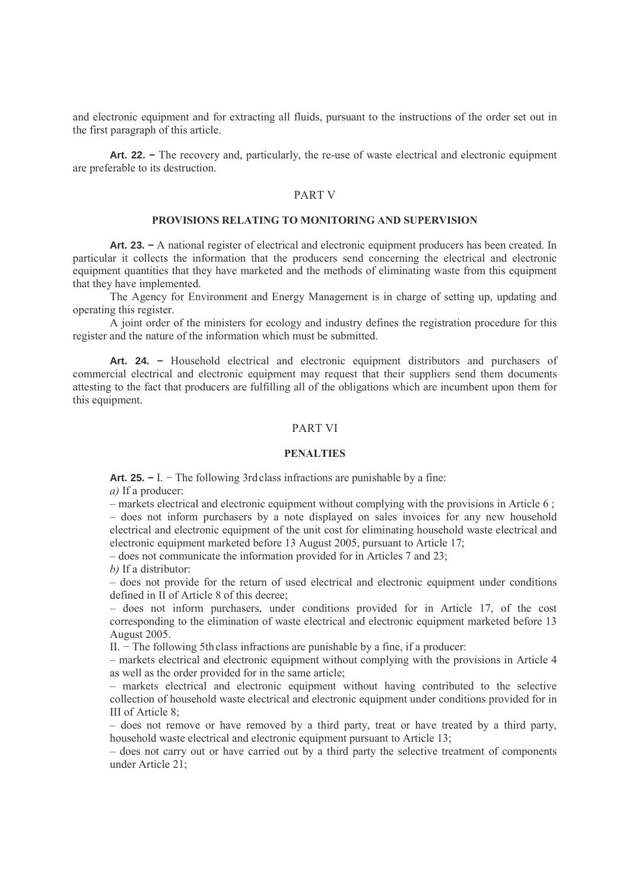and electronic equipment and for extracting all fluids, pursuant to the instructions of the order set out in the first paragraph of this article.

**Art. 22. −** The recovery and, particularly, the re-use of waste electrical and electronic equipment are preferable to its destruction.

# PART V

### PROVISIONS RELATING TO MONITORING AND SUPERVISION

**Art. 23. −** A national register of electrical and electronic equipment producers has been created. In particular it collects the information that the producers send concerning the electrical and electronic equipment quantities that they have marketed and the methods of eliminating waste from this equipment that they have implemented.

The Agency for Environment and Energy Management is in charge of setting up, updating and operating this register.

A joint order of the ministers for ecology and industry defines the registration procedure for this register and the nature of the information which must be submitted.

Art. 24. – Household electrical and electronic equipment distributors and purchasers of commercial electrical and electronic equipment may request that their suppliers send them documents attesting to the fact that producers are fulfilling all of the obligations which are incumbent upon them for this equipment.

# PART VI

#### **PENALTIES**

**Art. 25. −** I. − The following 3rd class infractions are punishable by a fine: a) If a producer:

 $-$  markets electrical and electronic equipment without complying with the provisions in Article 6 : – does not inform purchasers by a note displayed on sales invoices for any new household electrical and electronic equipment of the unit cost for eliminating household waste electrical and electronic equipment marketed before 13 August 2005, pursuant to Article 17;

– does not communicate the information provided for in Articles 7 and 23;

b) If a distributor:

– does not provide for the return of used electrical and electronic equipment under conditions defined in II of Article 8 of this decree;

– does not inform purchasers, under conditions provided for in Article 17, of the cost corresponding to the elimination of waste electrical and electronic equipment marketed before 13 August 2005.

II. − The following 5thclass infractions are punishable by a fine, if a producer:

– markets electrical and electronic equipment without complying with the provisions in Article 4 as well as the order provided for in the same article;

– markets electrical and electronic equipment without having contributed to the selective collection of household waste electrical and electronic equipment under conditions provided for in III of Article 8;

– does not remove or have removed by a third party, treat or have treated by a third party, household waste electrical and electronic equipment pursuant to Article 13;

– does not carry out or have carried out by a third party the selective treatment of components under Article 21;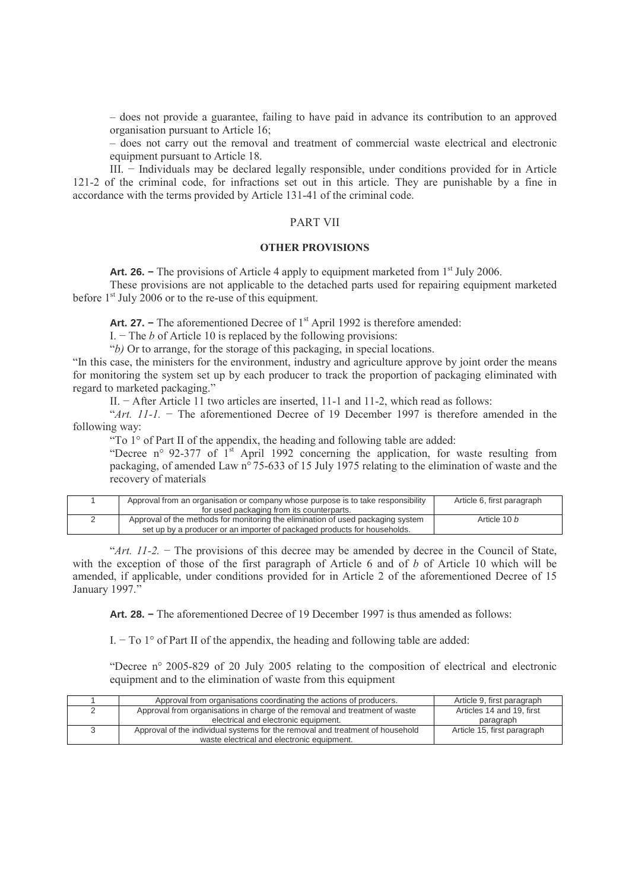– does not provide a guarantee, failing to have paid in advance its contribution to an approved organisation pursuant to Article 16;

– does not carry out the removal and treatment of commercial waste electrical and electronic equipment pursuant to Article 18.

III. − Individuals may be declared legally responsible, under conditions provided for in Article 121-2 of the criminal code, for infractions set out in this article. They are punishable by a fine in accordance with the terms provided by Article 131-41 of the criminal code.

### PART VII

#### OTHER PROVISIONS

**Art. 26.** − The provisions of Article 4 apply to equipment marketed from 1<sup>st</sup> July 2006.

These provisions are not applicable to the detached parts used for repairing equipment marketed before  $1<sup>st</sup>$  July 2006 or to the re-use of this equipment.

**Art. 27.** − The aforementioned Decree of 1<sup>st</sup> April 1992 is therefore amended:

I.  $\sim$  The b of Article 10 is replaced by the following provisions:

"b) Or to arrange, for the storage of this packaging, in special locations.

"In this case, the ministers for the environment, industry and agriculture approve by joint order the means for monitoring the system set up by each producer to track the proportion of packaging eliminated with regard to marketed packaging."

II. − After Article 11 two articles are inserted, 11-1 and 11-2, which read as follows:

"Art. 11-1. − The aforementioned Decree of 19 December 1997 is therefore amended in the following way:

"To 1° of Part II of the appendix, the heading and following table are added:

"Decree n° 92-377 of 1<sup>st</sup> April 1992 concerning the application, for waste resulting from packaging, of amended Law n° 75-633 of 15 July 1975 relating to the elimination of waste and the recovery of materials

| Approval from an organisation or company whose purpose is to take responsibility | Article 6, first paragraph |
|----------------------------------------------------------------------------------|----------------------------|
| for used packaging from its counterparts.                                        |                            |
| Approval of the methods for monitoring the elimination of used packaging system  | Article 10 b               |
| set up by a producer or an importer of packaged products for households.         |                            |

"Art.  $11-2$ . – The provisions of this decree may be amended by decree in the Council of State, with the exception of those of the first paragraph of Article 6 and of b of Article 10 which will be amended, if applicable, under conditions provided for in Article 2 of the aforementioned Decree of 15 January 1997."

**Art. 28. −** The aforementioned Decree of 19 December 1997 is thus amended as follows:

I. − To 1° of Part II of the appendix, the heading and following table are added:

"Decree n° 2005-829 of 20 July 2005 relating to the composition of electrical and electronic equipment and to the elimination of waste from this equipment

| Approval from organisations coordinating the actions of producers.            | Article 9, first paragraph  |
|-------------------------------------------------------------------------------|-----------------------------|
| Approval from organisations in charge of the removal and treatment of waste   | Articles 14 and 19. first   |
| electrical and electronic equipment.                                          | paragraph                   |
| Approval of the individual systems for the removal and treatment of household | Article 15, first paragraph |
| waste electrical and electronic equipment.                                    |                             |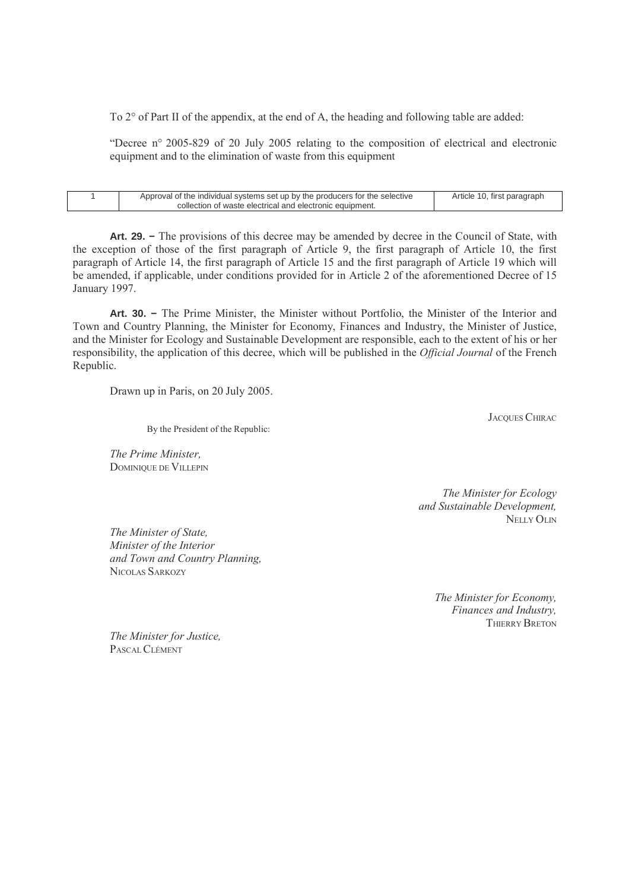To 2° of Part II of the appendix, at the end of A, the heading and following table are added:

"Decree n° 2005-829 of 20 July 2005 relating to the composition of electrical and electronic equipment and to the elimination of waste from this equipment

| Approval of the individual systems set up by the producers for the selective | Article 10, first paragraph |
|------------------------------------------------------------------------------|-----------------------------|
| collection of waste electrical and electronic equipment.                     |                             |
|                                                                              |                             |

**Art. 29. −** The provisions of this decree may be amended by decree in the Council of State, with the exception of those of the first paragraph of Article 9, the first paragraph of Article 10, the first paragraph of Article 14, the first paragraph of Article 15 and the first paragraph of Article 19 which will be amended, if applicable, under conditions provided for in Article 2 of the aforementioned Decree of 15 January 1997.

**Art. 30. −** The Prime Minister, the Minister without Portfolio, the Minister of the Interior and Town and Country Planning, the Minister for Economy, Finances and Industry, the Minister of Justice, and the Minister for Ecology and Sustainable Development are responsible, each to the extent of his or her responsibility, the application of this decree, which will be published in the Official Journal of the French Republic.

Drawn up in Paris, on 20 July 2005.

JACQUES CHIRAC

By the President of the Republic:

The Prime Minister, DOMINIQUE DE VILLEPIN

> The Minister for Ecology and Sustainable Development, NELLY OLIN

The Minister of State, Minister of the Interior and Town and Country Planning, NICOLAS SARKOZY

> The Minister for Economy, Finances and Industry, THIERRY BRETON

The Minister for Justice, PASCAL CLÉMENT